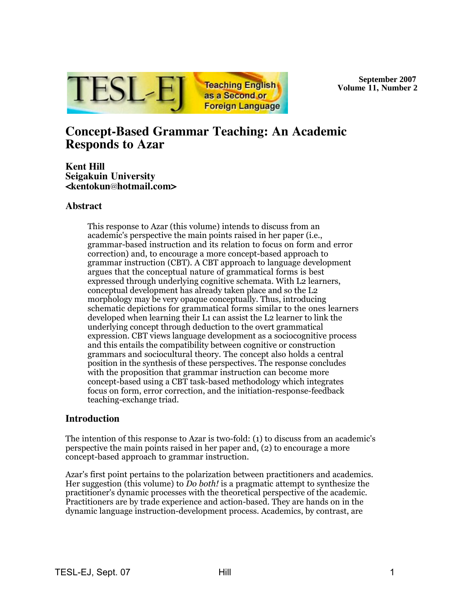

**September 2007 Volume 11, Number 22**

# **Concept-Based Grammar Teaching: An Academic Responds to Azar**

**Kent Hill Seigakuin University <kentokun hotmail.com>**

#### **Abstract**

This response to Azar (this volume) intends to discuss from an academic's perspective the main points raised in her paper (i.e., grammar-based instruction and its relation to focus on form and error correction) and, to encourage a more concept-based approach to grammar instruction (CBT). A CBT approach to language development argues that the conceptual nature of grammatical forms is best expressed through underlying cognitive schemata. With L2 learners, conceptual development has already taken place and so the L2 morphology may be very opaque conceptually. Thus, introducing schematic depictions for grammatical forms similar to the ones learners developed when learning their L1 can assist the L2 learner to link the underlying concept through deduction to the overt grammatical expression. CBT views language development as a sociocognitive process and this entails the compatibility between cognitive or construction grammars and sociocultural theory. The concept also holds a central position in the synthesis of these perspectives. The response concludes with the proposition that grammar instruction can become more concept-based using a CBT task-based methodology which integrates focus on form, error correction, and the initiation-response-feedback teaching-exchange triad.

## **Introduction**

The intention of this response to Azar is two-fold: (1) to discuss from an academic's perspective the main points raised in her paper and, (2) to encourage a more concept-based approach to grammar instruction.

Azar's first point pertains to the polarization between practitioners and academics. Her suggestion (this volume) to *Do both!* is a pragmatic attempt to synthesize the practitioner's dynamic processes with the theoretical perspective of the academic. Practitioners are by trade experience and action-based. They are hands on in the dynamic language instruction-development process. Academics, by contrast, are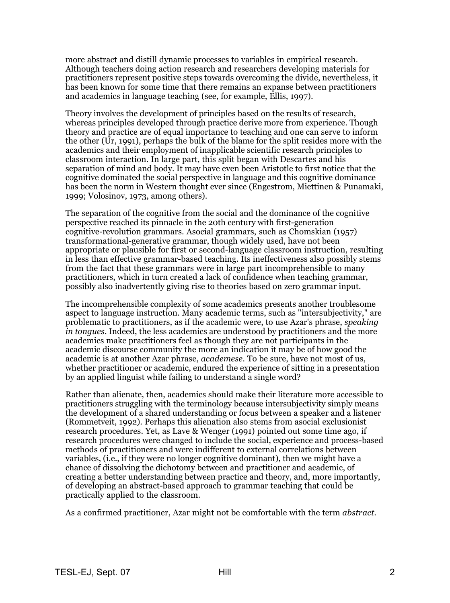more abstract and distill dynamic processes to variables in empirical research. Although teachers doing action research and researchers developing materials for practitioners represent positive steps towards overcoming the divide, nevertheless, it has been known for some time that there remains an expanse between practitioners and academics in language teaching (see, for example, Ellis, 1997).

Theory involves the development of principles based on the results of research, whereas principles developed through practice derive more from experience. Though theory and practice are of equal importance to teaching and one can serve to inform the other (Ur, 1991), perhaps the bulk of the blame for the split resides more with the academics and their employment of inapplicable scientific research principles to classroom interaction. In large part, this split began with Descartes and his separation of mind and body. It may have even been Aristotle to first notice that the cognitive dominated the social perspective in language and this cognitive dominance has been the norm in Western thought ever since (Engestrom, Miettinen & Punamaki, 1999; Volosinov, 1973, among others).

The separation of the cognitive from the social and the dominance of the cognitive perspective reached its pinnacle in the 20th century with first-generation cognitive-revolution grammars. Asocial grammars, such as Chomskian (1957) transformational-generative grammar, though widely used, have not been appropriate or plausible for first or second-language classroom instruction, resulting in less than effective grammar-based teaching. Its ineffectiveness also possibly stems from the fact that these grammars were in large part incomprehensible to many practitioners, which in turn created a lack of confidence when teaching grammar, possibly also inadvertently giving rise to theories based on zero grammar input.

The incomprehensible complexity of some academics presents another troublesome aspect to language instruction. Many academic terms, such as "intersubjectivity," are problematic to practitioners, as if the academic were, to use Azar's phrase, *speaking in tongues*. Indeed, the less academics are understood by practitioners and the more academics make practitioners feel as though they are not participants in the academic discourse community the more an indication it may be of how good the academic is at another Azar phrase, *academese.* To be sure, have not most of us, whether practitioner or academic, endured the experience of sitting in a presentation by an applied linguist while failing to understand a single word?

Rather than alienate, then, academics should make their literature more accessible to practitioners struggling with the terminology because intersubjectivity simply means the development of a shared understanding or focus between a speaker and a listener (Rommetveit, 1992). Perhaps this alienation also stems from asocial exclusionist research procedures. Yet, as Lave & Wenger (1991) pointed out some time ago, if research procedures were changed to include the social, experience and process-based methods of practitioners and were indifferent to external correlations between variables, (i.e., if they were no longer cognitive dominant), then we might have a chance of dissolving the dichotomy between and practitioner and academic, of creating a better understanding between practice and theory, and, more importantly, of developing an abstract-based approach to grammar teaching that could be practically applied to the classroom.

As a confirmed practitioner, Azar might not be comfortable with the term *abstract*.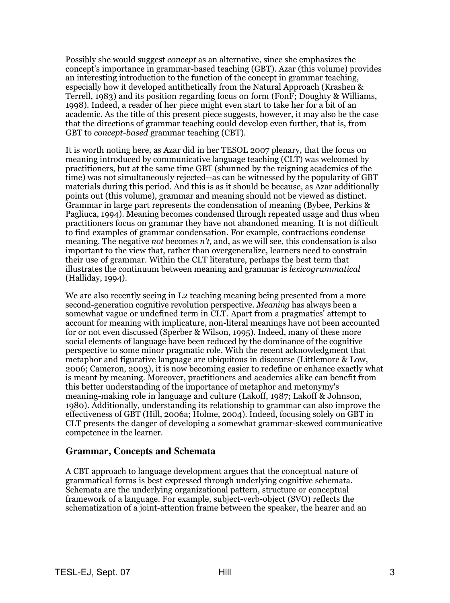Possibly she would suggest *concept* as an alternative, since she emphasizes the concept's importance in grammar-based teaching (GBT). Azar (this volume) provides an interesting introduction to the function of the concept in grammar teaching, especially how it developed antithetically from the Natural Approach (Krashen & Terrell, 1983) and its position regarding focus on form (FonF; Doughty & Williams, 1998). Indeed, a reader of her piece might even start to take her for a bit of an academic. As the title of this present piece suggests, however, it may also be the case that the directions of grammar teaching could develop even further, that is, from GBT to *concept-based* grammar teaching (CBT).

It is worth noting here, as Azar did in her TESOL 2007 plenary, that the focus on meaning introduced by communicative language teaching (CLT) was welcomed by practitioners, but at the same time GBT (shunned by the reigning academics of the time) was not simultaneously rejected--as can be witnessed by the popularity of GBT materials during this period. And this is as it should be because, as Azar additionally points out (this volume), grammar and meaning should not be viewed as distinct. Grammar in large part represents the condensation of meaning (Bybee, Perkins & Pagliuca, 1994). Meaning becomes condensed through repeated usage and thus when practitioners focus on grammar they have not abandoned meaning. It is not difficult to find examples of grammar condensation. For example, contractions condense meaning. The negative *not* becomes *n't,* and, as we will see, this condensation is also important to the view that, rather than overgeneralize, learners need to constrain their use of grammar. Within the CLT literature, perhaps the best term that illustrates the continuum between meaning and grammar is *lexicogrammatical* (Halliday, 1994).

We are also recently seeing in L<sub>2</sub> teaching meaning being presented from a more second-generation cognitive revolution perspective. *Meaning* has always been a somewhat vague or undefined term in CLT. Apart from a pragmatics' attempt to account for meaning with implicature, non-literal meanings have not been accounted for or not even discussed (Sperber & Wilson, 1995). Indeed, many of these more social elements of language have been reduced by the dominance of the cognitive perspective to some minor pragmatic role. With the recent acknowledgment that metaphor and figurative language are ubiquitous in discourse (Littlemore & Low, 2006; Cameron, 2003), it is now becoming easier to redefine or enhance exactly what is meant by meaning. Moreover, practitioners and academics alike can benefit from this better understanding of the importance of metaphor and metonymy's meaning-making role in language and culture (Lakoff, 1987; Lakoff & Johnson, 1980). Additionally, understanding its relationship to grammar can also improve the effectiveness of GBT (Hill, 2006a; Holme, 2004). Indeed, focusing solely on GBT in CLT presents the danger of developing a somewhat grammar-skewed communicative competence in the learner.

## **Grammar, Concepts and Schemata**

A CBT approach to language development argues that the conceptual nature of grammatical forms is best expressed through underlying cognitive schemata. Schemata are the underlying organizational pattern, structure or conceptual framework of a language. For example, subject-verb-object (SVO) reflects the schematization of a joint-attention frame between the speaker, the hearer and an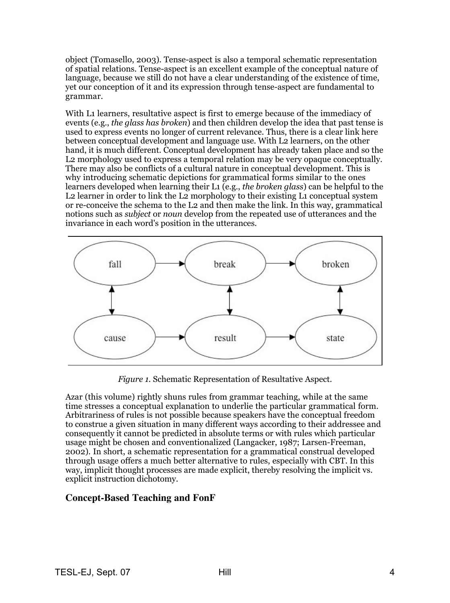object (Tomasello, 2003). Tense-aspect is also a temporal schematic representation of spatial relations. Tense-aspect is an excellent example of the conceptual nature of language, because we still do not have a clear understanding of the existence of time, yet our conception of it and its expression through tense-aspect are fundamental to grammar.

With L<sub>1</sub> learners, resultative aspect is first to emerge because of the immediacy of events (e.g., *the glass has broken*) and then children develop the idea that past tense is used to express events no longer of current relevance. Thus, there is a clear link here between conceptual development and language use. With L2 learners, on the other hand, it is much different. Conceptual development has already taken place and so the L2 morphology used to express a temporal relation may be very opaque conceptually. There may also be conflicts of a cultural nature in conceptual development. This is why introducing schematic depictions for grammatical forms similar to the ones learners developed when learning their L1 (e.g., *the broken glass*) can be helpful to the L2 learner in order to link the L2 morphology to their existing L1 conceptual system or re-conceive the schema to the L2 and then make the link. In this way, grammatical notions such as *subject* or *noun* develop from the repeated use of utterances and the invariance in each word's position in the utterances.



*Figure 1.* Schematic Representation of Resultative Aspect.

Azar (this volume) rightly shuns rules from grammar teaching, while at the same time stresses a conceptual explanation to underlie the particular grammatical form. Arbitrariness of rules is not possible because speakers have the conceptual freedom to construe a given situation in many different ways according to their addressee and consequently it cannot be predicted in absolute terms or with rules which particular usage might be chosen and conventionalized (Langacker, 1987; Larsen-Freeman, 2002). In short, a schematic representation for a grammatical construal developed through usage offers a much better alternative to rules, especially with CBT. In this way, implicit thought processes are made explicit, thereby resolving the implicit vs. explicit instruction dichotomy.

# **Concept-Based Teaching and FonF**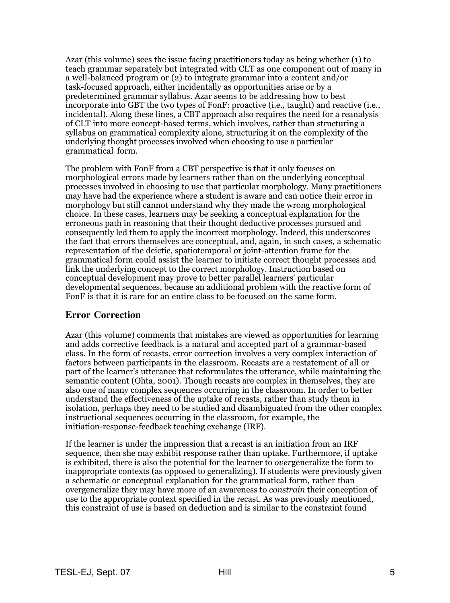Azar (this volume) sees the issue facing practitioners today as being whether (1) to teach grammar separately but integrated with CLT as one component out of many in a well-balanced program or (2) to integrate grammar into a content and/or task-focused approach, either incidentally as opportunities arise or by a predetermined grammar syllabus. Azar seems to be addressing how to best incorporate into GBT the two types of FonF: proactive (i.e., taught) and reactive (i.e., incidental). Along these lines, a CBT approach also requires the need for a reanalysis of CLT into more concept-based terms, which involves, rather than structuring a syllabus on grammatical complexity alone, structuring it on the complexity of the underlying thought processes involved when choosing to use a particular grammatical form.

The problem with FonF from a CBT perspective is that it only focuses on morphological errors made by learners rather than on the underlying conceptual processes involved in choosing to use that particular morphology. Many practitioners may have had the experience where a student is aware and can notice their error in morphology but still cannot understand why they made the wrong morphological choice. In these cases, learners may be seeking a conceptual explanation for the erroneous path in reasoning that their thought deductive processes pursued and consequently led them to apply the incorrect morphology. Indeed, this underscores the fact that errors themselves are conceptual, and, again, in such cases, a schematic representation of the deictic, spatiotemporal or joint-attention frame for the grammatical form could assist the learner to initiate correct thought processes and link the underlying concept to the correct morphology. Instruction based on conceptual development may prove to better parallel learners' particular developmental sequences, because an additional problem with the reactive form of FonF is that it is rare for an entire class to be focused on the same form.

# **Error Correction**

Azar (this volume) comments that mistakes are viewed as opportunities for learning and adds corrective feedback is a natural and accepted part of a grammar-based class. In the form of recasts, error correction involves a very complex interaction of factors between participants in the classroom. Recasts are a restatement of all or part of the learner's utterance that reformulates the utterance, while maintaining the semantic content (Ohta, 2001). Though recasts are complex in themselves, they are also one of many complex sequences occurring in the classroom. In order to better understand the effectiveness of the uptake of recasts, rather than study them in isolation, perhaps they need to be studied and disambiguated from the other complex instructional sequences occurring in the classroom, for example, the initiation-response-feedback teaching exchange (IRF).

If the learner is under the impression that a recast is an initiation from an IRF sequence, then she may exhibit response rather than uptake. Furthermore, if uptake is exhibited, there is also the potential for the learner to *over*generalize the form to inappropriate contexts (as opposed to generalizing). If students were previously given a schematic or conceptual explanation for the grammatical form, rather than overgeneralize they may have more of an awareness to *constrain* their conception of use to the appropriate context specified in the recast. As was previously mentioned, this constraint of use is based on deduction and is similar to the constraint found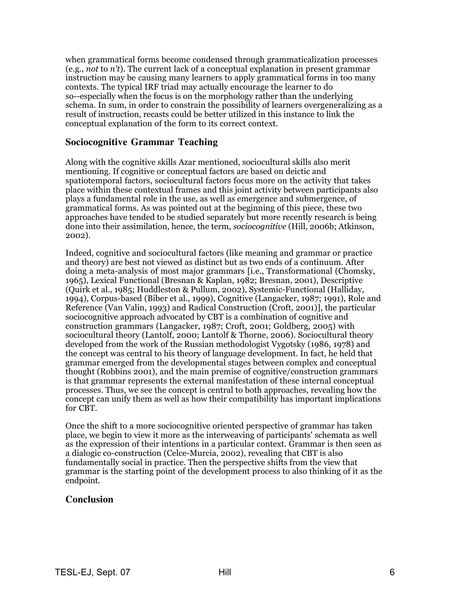when grammatical forms become condensed through grammaticalization processes (e.g., *not* to *n't*). The current lack of a conceptual explanation in present grammar instruction may be causing many learners to apply grammatical forms in too many contexts. The typical IRF triad may actually encourage the learner to do so--especially when the focus is on the morphology rather than the underlying schema. In sum, in order to constrain the possibility of learners overgeneralizing as a result of instruction, recasts could be better utilized in this instance to link the conceptual explanation of the form to its correct context.

# **Sociocognitive Grammar Teaching**

Along with the cognitive skills Azar mentioned, sociocultural skills also merit mentioning. If cognitive or conceptual factors are based on deictic and spatiotemporal factors, sociocultural factors focus more on the activity that takes place within these contextual frames and this joint activity between participants also plays a fundamental role in the use, as well as emergence and submergence, of grammatical forms. As was pointed out at the beginning of this piece, these two approaches have tended to be studied separately but more recently research is being done into their assimilation, hence, the term, *sociocognitive* (Hill, 2006b; Atkinson, 2002).

Indeed, cognitive and sociocultural factors (like meaning and grammar or practice and theory) are best not viewed as distinct but as two ends of a continuum. After doing a meta-analysis of most major grammars [i.e., Transformational (Chomsky, 1965), Lexical Functional (Bresnan & Kaplan, 1982; Bresnan, 2001), Descriptive (Quirk et al., 1985; Huddleston & Pullum, 2002), Systemic-Functional (Halliday, 1994), Corpus-based (Biber et al., 1999), Cognitive (Langacker, 1987; 1991), Role and Reference (Van Valin, 1993) and Radical Construction (Croft, 2001)], the particular sociocognitive approach advocated by CBT is a combination of cognitive and construction grammars (Langacker, 1987; Croft, 2001; Goldberg, 2005) with sociocultural theory (Lantolf, 2000; Lantolf & Thorne, 2006). Sociocultural theory developed from the work of the Russian methodologist Vygotsky (1986, 1978) and the concept was central to his theory of language development. In fact, he held that grammar emerged from the developmental stages between complex and conceptual thought (Robbins 2001), and the main premise of cognitive/construction grammars is that grammar represents the external manifestation of these internal conceptual processes. Thus, we see the concept is central to both approaches, revealing how the concept can unify them as well as how their compatibility has important implications for CBT.

Once the shift to a more sociocognitive oriented perspective of grammar has taken place, we begin to view it more as the interweaving of participants' schemata as well as the expression of their intentions in a particular context. Grammar is then seen as a dialogic co-construction (Celce-Murcia, 2002), revealing that CBT is also fundamentally social in practice. Then the perspective shifts from the view that grammar is the starting point of the development process to also thinking of it as the endpoint.

# **Conclusion**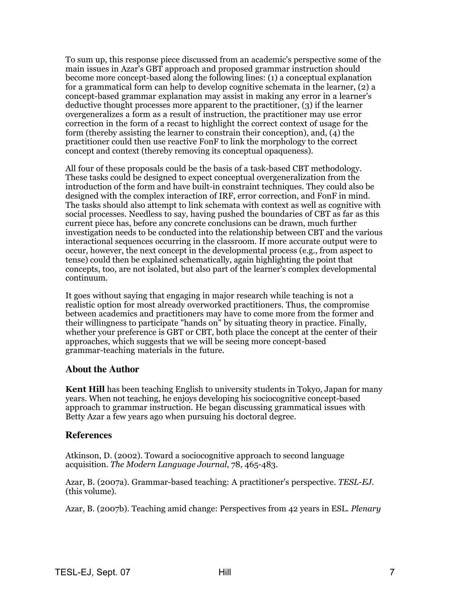To sum up, this response piece discussed from an academic's perspective some of the main issues in Azar's GBT approach and proposed grammar instruction should become more concept-based along the following lines: (1) a conceptual explanation for a grammatical form can help to develop cognitive schemata in the learner, (2) a concept-based grammar explanation may assist in making any error in a learner's deductive thought processes more apparent to the practitioner, (3) if the learner overgeneralizes a form as a result of instruction, the practitioner may use error correction in the form of a recast to highlight the correct context of usage for the form (thereby assisting the learner to constrain their conception), and, (4) the practitioner could then use reactive FonF to link the morphology to the correct concept and context (thereby removing its conceptual opaqueness).

All four of these proposals could be the basis of a task-based CBT methodology. These tasks could be designed to expect conceptual overgeneralization from the introduction of the form and have built-in constraint techniques. They could also be designed with the complex interaction of IRF, error correction, and FonF in mind. The tasks should also attempt to link schemata with context as well as cognitive with social processes. Needless to say, having pushed the boundaries of CBT as far as this current piece has, before any concrete conclusions can be drawn, much further investigation needs to be conducted into the relationship between CBT and the various interactional sequences occurring in the classroom. If more accurate output were to occur, however, the next concept in the developmental process (e.g., from aspect to tense) could then be explained schematically, again highlighting the point that concepts, too, are not isolated, but also part of the learner's complex developmental continuum.

It goes without saying that engaging in major research while teaching is not a realistic option for most already overworked practitioners. Thus, the compromise between academics and practitioners may have to come more from the former and their willingness to participate "hands on" by situating theory in practice. Finally, whether your preference is GBT or CBT, both place the concept at the center of their approaches, which suggests that we will be seeing more concept-based grammar-teaching materials in the future.

## **About the Author**

**Kent Hill** has been teaching English to university students in Tokyo, Japan for many years. When not teaching, he enjoys developing his sociocognitive concept-based approach to grammar instruction. He began discussing grammatical issues with Betty Azar a few years ago when pursuing his doctoral degree.

## **References**

Atkinson, D. (2002). Toward a sociocognitive approach to second language acquisition. *The Modern Language Journal*, 78, 465-483.

Azar, B. (2007a). Grammar-based teaching: A practitioner's perspective. *TESL-EJ.* (this volume).

Azar, B. (2007b). Teaching amid change: Perspectives from 42 years in ESL. *Plenary*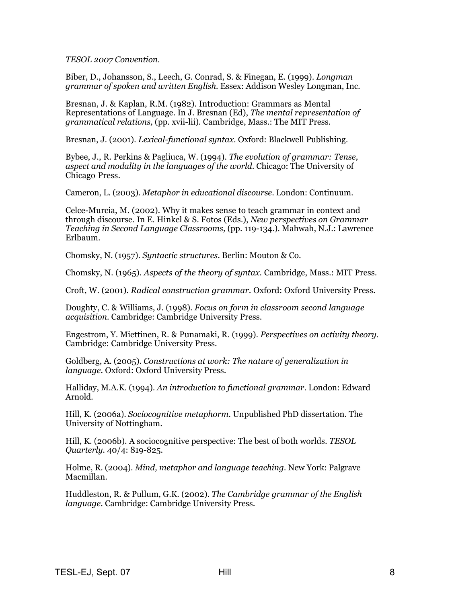*TESOL 2007 Convention.*

Biber, D., Johansson, S., Leech, G. Conrad, S. & Finegan, E. (1999). *Longman grammar of spoken and written English.* Essex: Addison Wesley Longman, Inc.

Bresnan, J. & Kaplan, R.M. (1982). Introduction: Grammars as Mental Representations of Language. In J. Bresnan (Ed), *The mental representation of grammatical relations,* (pp. xvii-lii)*.* Cambridge, Mass.: The MIT Press.

Bresnan, J. (2001). *Lexical-functional syntax*. Oxford: Blackwell Publishing.

Bybee, J., R. Perkins & Pagliuca, W. (1994). *The evolution of grammar: Tense, aspect and modality in the languages of the world*. Chicago: The University of Chicago Press.

Cameron, L. (2003). *Metaphor in educational discourse*. London: Continuum.

Celce-Murcia, M. (2002). Why it makes sense to teach grammar in context and through discourse. In E. Hinkel & S. Fotos (Eds.), *New perspectives on Grammar Teaching in Second Language Classrooms,* (pp. 119-134.)*.* Mahwah, N.J.: Lawrence Erlbaum.

Chomsky, N. (1957). *Syntactic structures*. Berlin: Mouton & Co.

Chomsky, N. (1965). *Aspects of the theory of syntax.* Cambridge, Mass.: MIT Press.

Croft, W. (2001). *Radical construction grammar*. Oxford: Oxford University Press.

Doughty, C. & Williams, J. (1998). *Focus on form in classroom second language acquisition.* Cambridge: Cambridge University Press.

Engestrom, Y. Miettinen, R. & Punamaki, R. (1999). *Perspectives on activity theory.* Cambridge: Cambridge University Press.

Goldberg, A. (2005). *Constructions at work: The nature of generalization in language.* Oxford: Oxford University Press.

Halliday, M.A.K. (1994). *An introduction to functional grammar*. London: Edward Arnold.

Hill, K. (2006a). *Sociocognitive metaphorm*. Unpublished PhD dissertation. The University of Nottingham.

Hill, K. (2006b). A sociocognitive perspective: The best of both worlds. *TESOL Quarterly.* 40/4: 819-825.

Holme, R. (2004). *Mind, metaphor and language teaching*. New York: Palgrave Macmillan.

Huddleston, R. & Pullum, G.K. (2002). *The Cambridge grammar of the English language.* Cambridge: Cambridge University Press.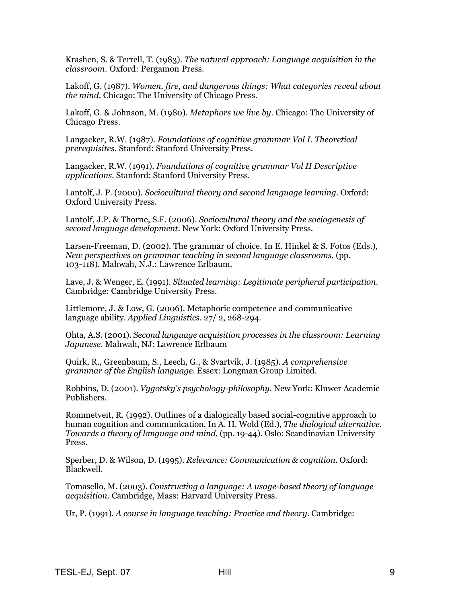Krashen, S. & Terrell, T. (1983). *The natural approach: Language acquisition in the classroom*. Oxford: Pergamon Press.

Lakoff, G. (1987). *Women, fire, and dangerous things: What categories reveal about the mind*. Chicago: The University of Chicago Press.

Lakoff, G. & Johnson, M. (1980). *Metaphors we live by*. Chicago: The University of Chicago Press.

Langacker, R.W. (1987). *Foundations of cognitive grammar Vol I. Theoretical prerequisites.* Stanford: Stanford University Press.

Langacker, R.W. (1991). *Foundations of cognitive grammar Vol II Descriptive applications.* Stanford: Stanford University Press.

Lantolf, J. P. (2000). *Sociocultural theory and second language learning.* Oxford: Oxford University Press.

Lantolf, J.P. & Thorne, S.F. (2006). *Sociocultural theory and the sociogenesis of second language development*. New York: Oxford University Press.

Larsen-Freeman, D. (2002). The grammar of choice. In E. Hinkel & S. Fotos (Eds.), *New perspectives on grammar teaching in second language classrooms,* (pp. 103-118)*.* Mahwah, N.J.: Lawrence Erlbaum.

Lave, J. & Wenger, E. (1991). *Situated learning: Legitimate peripheral participation*. Cambridge: Cambridge University Press.

Littlemore, J. & Low, G. (2006). Metaphoric competence and communicative language ability. *Applied Linguistics*. 27/ 2, 268-294.

Ohta, A.S. (2001). *Second language acquisition processes in the classroom: Learning Japanese*. Mahwah, NJ: Lawrence Erlbaum

Quirk, R., Greenbaum, S., Leech, G., & Svartvik, J. (1985). *A comprehensive grammar of the English language.* Essex: Longman Group Limited.

Robbins, D. (2001). *Vygotsky's psychology-philosophy*. New York: Kluwer Academic Publishers.

Rommetveit, R. (1992). Outlines of a dialogically based social-cognitive approach to human cognition and communication. In A. H. Wold (Ed.), *The dialogical alternative. Towards a theory of language and mind,* (pp. 19-44)*.* Oslo: Scandinavian University Press.

Sperber, D. & Wilson, D. (1995). *Relevance: Communication & cognition*. Oxford: Blackwell.

Tomasello, M. (2003). *Constructing a language: A usage-based theory of language acquisition*. Cambridge, Mass: Harvard University Press.

Ur, P. (1991). *A course in language teaching: Practice and theory.* Cambridge: